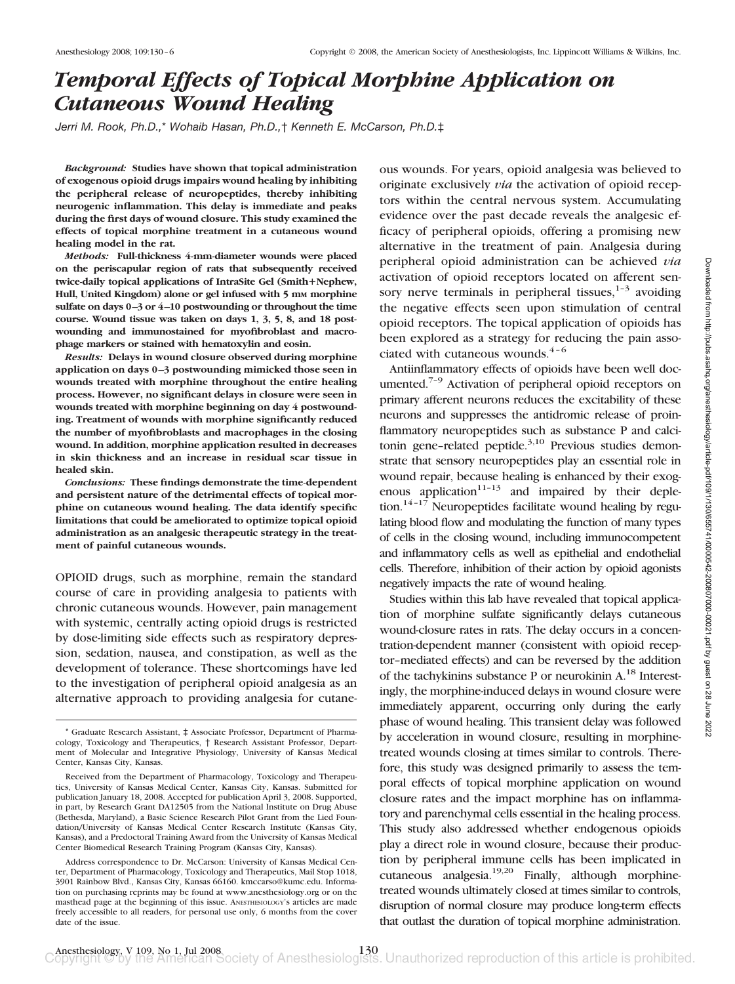# *Temporal Effects of Topical Morphine Application on Cutaneous Wound Healing*

*Jerri M. Rook, Ph.D.,*\* *Wohaib Hasan, Ph.D.,*† *Kenneth E. McCarson, Ph.D.*‡

*Background:* **Studies have shown that topical administration of exogenous opioid drugs impairs wound healing by inhibiting the peripheral release of neuropeptides, thereby inhibiting neurogenic inflammation. This delay is immediate and peaks during the first days of wound closure. This study examined the effects of topical morphine treatment in a cutaneous wound healing model in the rat.**

*Methods:* **Full-thickness 4-mm-diameter wounds were placed on the periscapular region of rats that subsequently received twice-daily topical applications of IntraSite Gel (SmithNephew,** Hull, United Kingdom) alone or gel infused with 5 mm morphine **sulfate on days 0 –3 or 4 –10 postwounding or throughout the time course. Wound tissue was taken on days 1, 3, 5, 8, and 18 postwounding and immunostained for myofibroblast and macrophage markers or stained with hematoxylin and eosin.**

*Results:* **Delays in wound closure observed during morphine application on days 0 –3 postwounding mimicked those seen in wounds treated with morphine throughout the entire healing process. However, no significant delays in closure were seen in wounds treated with morphine beginning on day 4 postwounding. Treatment of wounds with morphine significantly reduced the number of myofibroblasts and macrophages in the closing wound. In addition, morphine application resulted in decreases in skin thickness and an increase in residual scar tissue in healed skin.**

*Conclusions:* **These findings demonstrate the time-dependent and persistent nature of the detrimental effects of topical morphine on cutaneous wound healing. The data identify specific limitations that could be ameliorated to optimize topical opioid administration as an analgesic therapeutic strategy in the treatment of painful cutaneous wounds.**

OPIOID drugs, such as morphine, remain the standard course of care in providing analgesia to patients with chronic cutaneous wounds. However, pain management with systemic, centrally acting opioid drugs is restricted by dose-limiting side effects such as respiratory depression, sedation, nausea, and constipation, as well as the development of tolerance. These shortcomings have led to the investigation of peripheral opioid analgesia as an alternative approach to providing analgesia for cutaneous wounds. For years, opioid analgesia was believed to originate exclusively *via* the activation of opioid receptors within the central nervous system. Accumulating evidence over the past decade reveals the analgesic efficacy of peripheral opioids, offering a promising new alternative in the treatment of pain. Analgesia during peripheral opioid administration can be achieved *via* activation of opioid receptors located on afferent sensory nerve terminals in peripheral tissues, $1-3$  avoiding the negative effects seen upon stimulation of central opioid receptors. The topical application of opioids has been explored as a strategy for reducing the pain associated with cutaneous wounds. $4-6$ 

Antiinflammatory effects of opioids have been well documented.<sup>7-9</sup> Activation of peripheral opioid receptors on primary afferent neurons reduces the excitability of these neurons and suppresses the antidromic release of proinflammatory neuropeptides such as substance P and calcitonin gene-related peptide.<sup>3,10</sup> Previous studies demonstrate that sensory neuropeptides play an essential role in wound repair, because healing is enhanced by their exogenous application $11-13$  and impaired by their depletion.<sup>14-17</sup> Neuropeptides facilitate wound healing by regulating blood flow and modulating the function of many types of cells in the closing wound, including immunocompetent and inflammatory cells as well as epithelial and endothelial cells. Therefore, inhibition of their action by opioid agonists negatively impacts the rate of wound healing.

Studies within this lab have revealed that topical application of morphine sulfate significantly delays cutaneous wound-closure rates in rats. The delay occurs in a concentration-dependent manner (consistent with opioid receptor–mediated effects) and can be reversed by the addition of the tachykinins substance P or neurokinin A.18 Interestingly, the morphine-induced delays in wound closure were immediately apparent, occurring only during the early phase of wound healing. This transient delay was followed by acceleration in wound closure, resulting in morphinetreated wounds closing at times similar to controls. Therefore, this study was designed primarily to assess the temporal effects of topical morphine application on wound closure rates and the impact morphine has on inflammatory and parenchymal cells essential in the healing process. This study also addressed whether endogenous opioids play a direct role in wound closure, because their production by peripheral immune cells has been implicated in cutaneous analgesia.19,20 Finally, although morphinetreated wounds ultimately closed at times similar to controls, disruption of normal closure may produce long-term effects that outlast the duration of topical morphine administration.

<sup>\*</sup> Graduate Research Assistant, ‡ Associate Professor, Department of Pharmacology, Toxicology and Therapeutics, † Research Assistant Professor, Department of Molecular and Integrative Physiology, University of Kansas Medical Center, Kansas City, Kansas.

Received from the Department of Pharmacology, Toxicology and Therapeutics, University of Kansas Medical Center, Kansas City, Kansas. Submitted for publication January 18, 2008. Accepted for publication April 3, 2008. Supported, in part, by Research Grant DA12505 from the National Institute on Drug Abuse (Bethesda, Maryland), a Basic Science Research Pilot Grant from the Lied Foundation/University of Kansas Medical Center Research Institute (Kansas City, Kansas), and a Predoctoral Training Award from the University of Kansas Medical Center Biomedical Research Training Program (Kansas City, Kansas).

Address correspondence to Dr. McCarson: University of Kansas Medical Center, Department of Pharmacology, Toxicology and Therapeutics, Mail Stop 1018, 3901 Rainbow Blvd., Kansas City, Kansas 66160. kmccarso@kumc.edu. Information on purchasing reprints may be found at www.anesthesiology.org or on the masthead page at the beginning of this issue. ANESTHESIOLOGY's articles are made freely accessible to all readers, for personal use only, 6 months from the cover date of the issue.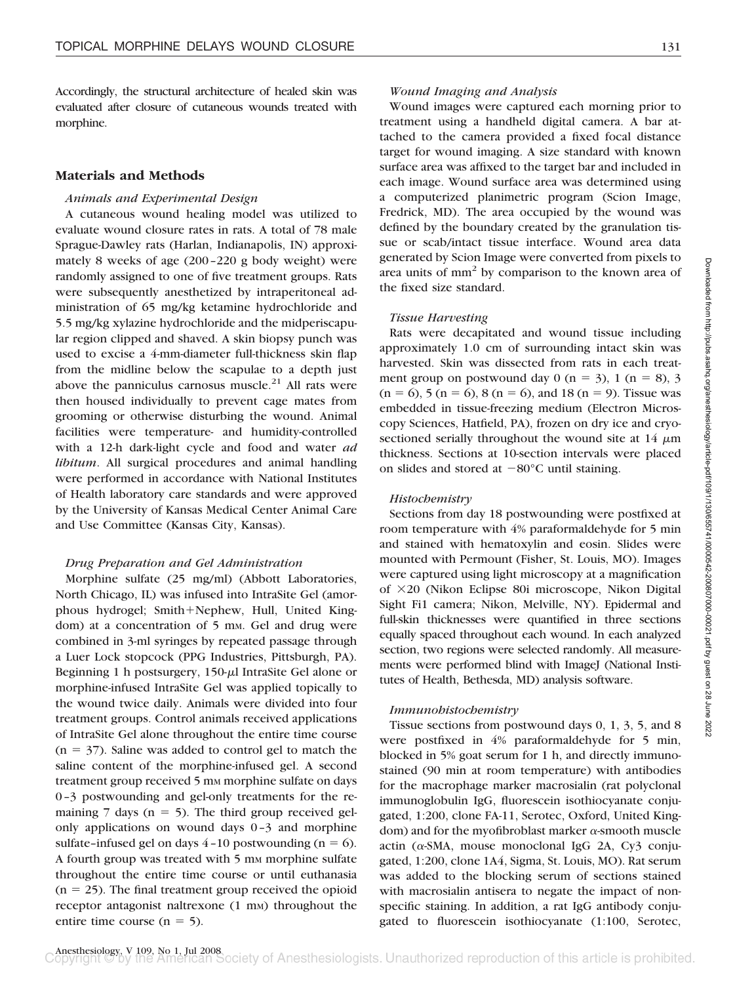Accordingly, the structural architecture of healed skin was evaluated after closure of cutaneous wounds treated with morphine.

## **Materials and Methods**

#### *Animals and Experimental Design*

A cutaneous wound healing model was utilized to evaluate wound closure rates in rats. A total of 78 male Sprague-Dawley rats (Harlan, Indianapolis, IN) approximately 8 weeks of age (200–220 g body weight) were randomly assigned to one of five treatment groups. Rats were subsequently anesthetized by intraperitoneal administration of 65 mg/kg ketamine hydrochloride and 5.5 mg/kg xylazine hydrochloride and the midperiscapular region clipped and shaved. A skin biopsy punch was used to excise a 4-mm-diameter full-thickness skin flap from the midline below the scapulae to a depth just above the panniculus carnosus muscle. $21$  All rats were then housed individually to prevent cage mates from grooming or otherwise disturbing the wound. Animal facilities were temperature- and humidity-controlled with a 12-h dark-light cycle and food and water *ad libitum*. All surgical procedures and animal handling were performed in accordance with National Institutes of Health laboratory care standards and were approved by the University of Kansas Medical Center Animal Care and Use Committee (Kansas City, Kansas).

#### *Drug Preparation and Gel Administration*

Morphine sulfate (25 mg/ml) (Abbott Laboratories, North Chicago, IL) was infused into IntraSite Gel (amorphous hydrogel; Smith+Nephew, Hull, United Kingdom) at a concentration of 5 mm. Gel and drug were combined in 3-ml syringes by repeated passage through a Luer Lock stopcock (PPG Industries, Pittsburgh, PA). Beginning 1 h postsurgery,  $150-\mu$  IntraSite Gel alone or morphine-infused IntraSite Gel was applied topically to the wound twice daily. Animals were divided into four treatment groups. Control animals received applications of IntraSite Gel alone throughout the entire time course  $(n = 37)$ . Saline was added to control gel to match the saline content of the morphine-infused gel. A second treatment group received 5 mm morphine sulfate on days 0–3 postwounding and gel-only treatments for the remaining  $7$  days ( $n = 5$ ). The third group received gelonly applications on wound days 0–3 and morphine sulfate-infused gel on days  $4-10$  postwounding (n = 6). A fourth group was treated with 5 mm morphine sulfate throughout the entire time course or until euthanasia  $(n = 25)$ . The final treatment group received the opioid receptor antagonist naltrexone  $(1 \text{ mm})$  throughout the entire time course  $(n = 5)$ .

#### *Wound Imaging and Analysis*

Wound images were captured each morning prior to treatment using a handheld digital camera. A bar attached to the camera provided a fixed focal distance target for wound imaging. A size standard with known surface area was affixed to the target bar and included in each image. Wound surface area was determined using a computerized planimetric program (Scion Image, Fredrick, MD). The area occupied by the wound was defined by the boundary created by the granulation tissue or scab/intact tissue interface. Wound area data generated by Scion Image were converted from pixels to area units of  $mm<sup>2</sup>$  by comparison to the known area of the fixed size standard.

#### *Tissue Harvesting*

Rats were decapitated and wound tissue including approximately 1.0 cm of surrounding intact skin was harvested. Skin was dissected from rats in each treatment group on postwound day  $0$  (n = 3), 1 (n = 8), 3  $(n = 6)$ , 5  $(n = 6)$ , 8  $(n = 6)$ , and 18  $(n = 9)$ . Tissue was embedded in tissue-freezing medium (Electron Microscopy Sciences, Hatfield, PA), frozen on dry ice and cryosectioned serially throughout the wound site at  $14 \mu m$ thickness. Sections at 10-section intervals were placed on slides and stored at  $-80^{\circ}$ C until staining.

#### *Histochemistry*

Sections from day 18 postwounding were postfixed at room temperature with 4% paraformaldehyde for 5 min and stained with hematoxylin and eosin. Slides were mounted with Permount (Fisher, St. Louis, MO). Images were captured using light microscopy at a magnification of  $\times$ 20 (Nikon Eclipse 80i microscope, Nikon Digital Sight Fi1 camera; Nikon, Melville, NY). Epidermal and full-skin thicknesses were quantified in three sections equally spaced throughout each wound. In each analyzed section, two regions were selected randomly. All measurements were performed blind with ImageJ (National Institutes of Health, Bethesda, MD) analysis software.

#### *Immunohistochemistry*

Tissue sections from postwound days 0, 1, 3, 5, and 8 were postfixed in 4% paraformaldehyde for 5 min, blocked in 5% goat serum for 1 h, and directly immunostained (90 min at room temperature) with antibodies for the macrophage marker macrosialin (rat polyclonal immunoglobulin IgG, fluorescein isothiocyanate conjugated, 1:200, clone FA-11, Serotec, Oxford, United Kingdom) and for the myofibroblast marker  $\alpha$ -smooth muscle  $\arctin$  ( $\alpha$ -SMA, mouse monoclonal IgG 2A, Cy3 conjugated, 1:200, clone 1A4, Sigma, St. Louis, MO). Rat serum was added to the blocking serum of sections stained with macrosialin antisera to negate the impact of nonspecific staining. In addition, a rat IgG antibody conjugated to fluorescein isothiocyanate (1:100, Serotec,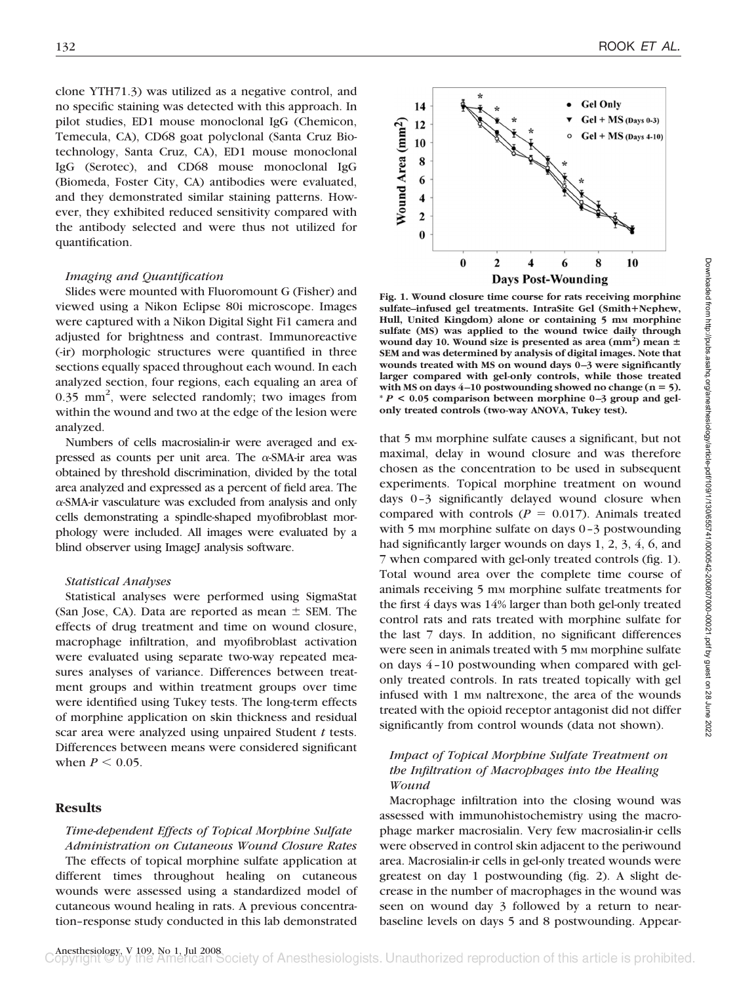clone YTH71.3) was utilized as a negative control, and no specific staining was detected with this approach. In pilot studies, ED1 mouse monoclonal IgG (Chemicon, Temecula, CA), CD68 goat polyclonal (Santa Cruz Biotechnology, Santa Cruz, CA), ED1 mouse monoclonal IgG (Serotec), and CD68 mouse monoclonal IgG (Biomeda, Foster City, CA) antibodies were evaluated, and they demonstrated similar staining patterns. However, they exhibited reduced sensitivity compared with the antibody selected and were thus not utilized for quantification.

### *Imaging and Quantification*

Slides were mounted with Fluoromount G (Fisher) and viewed using a Nikon Eclipse 80i microscope. Images were captured with a Nikon Digital Sight Fi1 camera and adjusted for brightness and contrast. Immunoreactive (-ir) morphologic structures were quantified in three sections equally spaced throughout each wound. In each analyzed section, four regions, each equaling an area of 0.35 mm<sup>2</sup>, were selected randomly; two images from within the wound and two at the edge of the lesion were analyzed.

Numbers of cells macrosialin-ir were averaged and expressed as counts per unit area. The  $\alpha$ -SMA-ir area was obtained by threshold discrimination, divided by the total area analyzed and expressed as a percent of field area. The --SMA-ir vasculature was excluded from analysis and only cells demonstrating a spindle-shaped myofibroblast morphology were included. All images were evaluated by a blind observer using ImageJ analysis software.

#### *Statistical Analyses*

Statistical analyses were performed using SigmaStat (San Jose, CA). Data are reported as mean  $\pm$  SEM. The effects of drug treatment and time on wound closure, macrophage infiltration, and myofibroblast activation were evaluated using separate two-way repeated measures analyses of variance. Differences between treatment groups and within treatment groups over time were identified using Tukey tests. The long-term effects of morphine application on skin thickness and residual scar area were analyzed using unpaired Student *t* tests. Differences between means were considered significant when  $P \leq 0.05$ .

## **Results**

## *Time-dependent Effects of Topical Morphine Sulfate Administration on Cutaneous Wound Closure Rates* The effects of topical morphine sulfate application at

different times throughout healing on cutaneous wounds were assessed using a standardized model of cutaneous wound healing in rats. A previous concentration–response study conducted in this lab demonstrated

Wound Area (mm<sup>2</sup>)  $\overline{2}$  $\boldsymbol{0}$  $\bf{0}$  $\overline{2}$  $\boldsymbol{4}$ 6 8 10 **Days Post-Wounding Fig. 1. Wound closure time course for rats receiving morphine sulfate–infused gel treatments. IntraSite Gel (SmithNephew,** Hull, United Kingdom) alone or containing 5 mm morphine **sulfate (MS) was applied to the wound twice daily through** wound day 10. Wound size is presented as area (mm<sup>2</sup>) mean  $\pm$ **SEM and was determined by analysis of digital images. Note that wounds treated with MS on wound days 0 –3 were significantly larger compared with gel-only controls, while those treated with MS on days 4 –10 postwounding showed no change (n 5). \*** *P* **< 0.05 comparison between morphine 0 –3 group and gel-**

**only treated controls (two-way ANOVA, Tukey test).**

that 5 mm morphine sulfate causes a significant, but not maximal, delay in wound closure and was therefore chosen as the concentration to be used in subsequent experiments. Topical morphine treatment on wound days 0–3 significantly delayed wound closure when compared with controls ( $P = 0.017$ ). Animals treated with 5 mm morphine sulfate on days  $0-3$  postwounding had significantly larger wounds on days 1, 2, 3, 4, 6, and 7 when compared with gel-only treated controls (fig. 1). Total wound area over the complete time course of animals receiving 5 mm morphine sulfate treatments for the first 4 days was 14% larger than both gel-only treated control rats and rats treated with morphine sulfate for the last 7 days. In addition, no significant differences were seen in animals treated with 5 mm morphine sulfate on days 4–10 postwounding when compared with gelonly treated controls. In rats treated topically with gel infused with 1 mm naltrexone, the area of the wounds treated with the opioid receptor antagonist did not differ significantly from control wounds (data not shown).

## *Impact of Topical Morphine Sulfate Treatment on the Infiltration of Macrophages into the Healing Wound*

Macrophage infiltration into the closing wound was assessed with immunohistochemistry using the macrophage marker macrosialin. Very few macrosialin-ir cells were observed in control skin adjacent to the periwound area. Macrosialin-ir cells in gel-only treated wounds were greatest on day 1 postwounding (fig. 2). A slight decrease in the number of macrophages in the wound was seen on wound day 3 followed by a return to nearbaseline levels on days 5 and 8 postwounding. Appear-

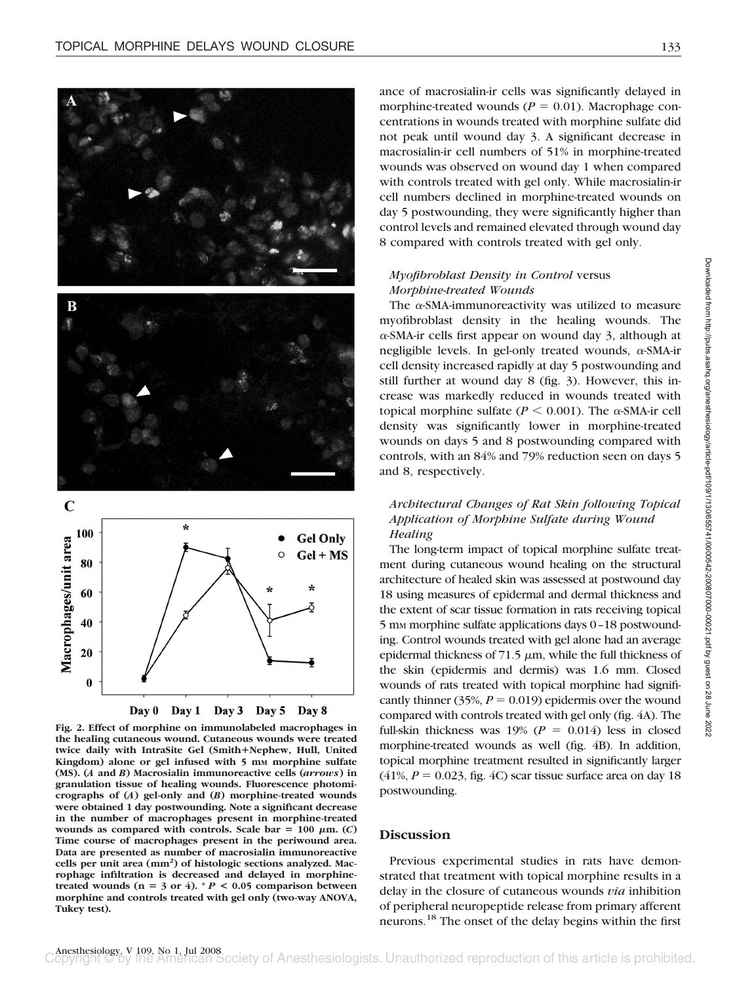

**Fig. 2. Effect of morphine on immunolabeled macrophages in the healing cutaneous wound. Cutaneous wounds were treated twice daily with IntraSite Gel (SmithNephew, Hull, United** Kingdom) alone or gel infused with 5 mm morphine sulfate **(MS). (***A* **and** *B***) Macrosialin immunoreactive cells (***arrows***) in granulation tissue of healing wounds. Fluorescence photomicrographs of (***A***) gel-only and (***B***) morphine-treated wounds were obtained 1 day postwounding. Note a significant decrease in the number of macrophages present in morphine-treated wounds as compared with controls. Scale bar = 100**  $\mu$ **m. (***C***) Time course of macrophages present in the periwound area. Data are presented as number of macrosialin immunoreactive cells per unit area (mm2 ) of histologic sections analyzed. Macrophage infiltration is decreased and delayed in morphine**treated wounds ( $n = 3$  or 4).  $* P < 0.05$  comparison between **morphine and controls treated with gel only (two-way ANOVA, Tukey test).**

ance of macrosialin-ir cells was significantly delayed in morphine-treated wounds ( $P = 0.01$ ). Macrophage concentrations in wounds treated with morphine sulfate did not peak until wound day 3. A significant decrease in macrosialin-ir cell numbers of 51% in morphine-treated wounds was observed on wound day 1 when compared with controls treated with gel only. While macrosialin-ir cell numbers declined in morphine-treated wounds on day 5 postwounding, they were significantly higher than control levels and remained elevated through wound day 8 compared with controls treated with gel only.

## *Myofibroblast Density in Control* versus *Morphine-treated Wounds*

The  $\alpha$ -SMA-immunoreactivity was utilized to measure myofibroblast density in the healing wounds. The --SMA-ir cells first appear on wound day 3, although at negligible levels. In gel-only treated wounds,  $\alpha$ -SMA-ir cell density increased rapidly at day 5 postwounding and still further at wound day 8 (fig. 3). However, this increase was markedly reduced in wounds treated with topical morphine sulfate ( $P \le 0.001$ ). The  $\alpha$ -SMA-ir cell density was significantly lower in morphine-treated wounds on days 5 and 8 postwounding compared with controls, with an 84% and 79% reduction seen on days 5 and 8, respectively.

## *Architectural Changes of Rat Skin following Topical Application of Morphine Sulfate during Wound Healing*

The long-term impact of topical morphine sulfate treatment during cutaneous wound healing on the structural architecture of healed skin was assessed at postwound day 18 using measures of epidermal and dermal thickness and the extent of scar tissue formation in rats receiving topical 5 mM morphine sulfate applications days 0–18 postwounding. Control wounds treated with gel alone had an average epidermal thickness of  $71.5 \mu m$ , while the full thickness of the skin (epidermis and dermis) was 1.6 mm. Closed wounds of rats treated with topical morphine had significantly thinner  $(35\%, P = 0.019)$  epidermis over the wound compared with controls treated with gel only (fig. 4A). The full-skin thickness was  $19\%$  ( $P = 0.014$ ) less in closed morphine-treated wounds as well (fig. 4B). In addition, topical morphine treatment resulted in significantly larger  $(41\%, P = 0.023,$  fig. 4C) scar tissue surface area on day 18 postwounding.

## **Discussion**

Previous experimental studies in rats have demonstrated that treatment with topical morphine results in a delay in the closure of cutaneous wounds *via* inhibition of peripheral neuropeptide release from primary afferent neurons.18 The onset of the delay begins within the first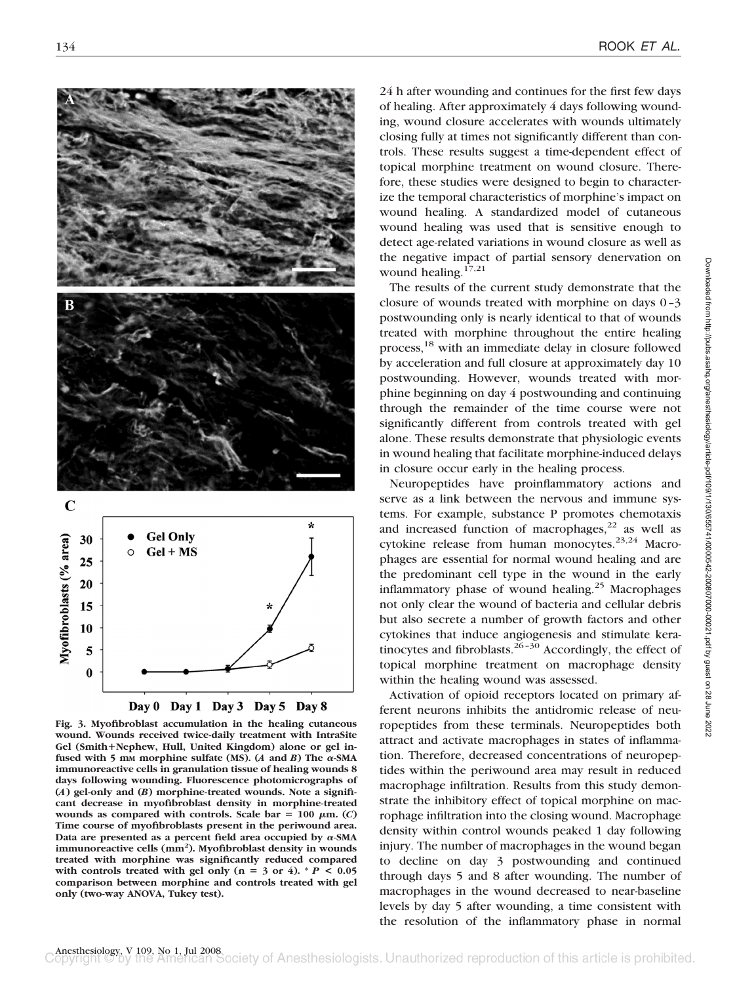

**Fig. 3. Myofibroblast accumulation in the healing cutaneous wound. Wounds received twice-daily treatment with IntraSite Gel (SmithNephew, Hull, United Kingdom) alone or gel in**fused with 5 mm morphine sulfate (MS).  $(A \text{ and } B)$  The  $\alpha$ -SMA **immunoreactive cells in granulation tissue of healing wounds 8 days following wounding. Fluorescence photomicrographs of (***A***) gel-only and (***B***) morphine-treated wounds. Note a significant decrease in myofibroblast density in morphine-treated wounds as compared with controls. Scale bar**  $= 100 \mu m$ **. (***C***) Time course of myofibroblasts present in the periwound area.** Data are presented as a percent field area occupied by  $\alpha$ -SMA **immunoreactive cells (mm2 ). Myofibroblast density in wounds treated with morphine was significantly reduced compared** with controls treated with gel only  $(n = 3 \text{ or } 4)$ . \*  $P < 0.05$ **comparison between morphine and controls treated with gel only (two-way ANOVA, Tukey test).**

24 h after wounding and continues for the first few days of healing. After approximately 4 days following wounding, wound closure accelerates with wounds ultimately closing fully at times not significantly different than controls. These results suggest a time-dependent effect of topical morphine treatment on wound closure. Therefore, these studies were designed to begin to characterize the temporal characteristics of morphine's impact on wound healing. A standardized model of cutaneous wound healing was used that is sensitive enough to detect age-related variations in wound closure as well as the negative impact of partial sensory denervation on wound healing. $17,21$ 

The results of the current study demonstrate that the closure of wounds treated with morphine on days 0–3 postwounding only is nearly identical to that of wounds treated with morphine throughout the entire healing process,18 with an immediate delay in closure followed by acceleration and full closure at approximately day 10 postwounding. However, wounds treated with morphine beginning on day 4 postwounding and continuing through the remainder of the time course were not significantly different from controls treated with gel alone. These results demonstrate that physiologic events in wound healing that facilitate morphine-induced delays in closure occur early in the healing process.

Neuropeptides have proinflammatory actions and serve as a link between the nervous and immune systems. For example, substance P promotes chemotaxis and increased function of macrophages, $22$  as well as cytokine release from human monocytes.<sup>23,24</sup> Macrophages are essential for normal wound healing and are the predominant cell type in the wound in the early inflammatory phase of wound healing.<sup>25</sup> Macrophages not only clear the wound of bacteria and cellular debris but also secrete a number of growth factors and other cytokines that induce angiogenesis and stimulate keratinocytes and fibroblasts. $26-30$  Accordingly, the effect of topical morphine treatment on macrophage density within the healing wound was assessed.

Activation of opioid receptors located on primary afferent neurons inhibits the antidromic release of neuropeptides from these terminals. Neuropeptides both attract and activate macrophages in states of inflammation. Therefore, decreased concentrations of neuropeptides within the periwound area may result in reduced macrophage infiltration. Results from this study demonstrate the inhibitory effect of topical morphine on macrophage infiltration into the closing wound. Macrophage density within control wounds peaked 1 day following injury. The number of macrophages in the wound began to decline on day 3 postwounding and continued through days 5 and 8 after wounding. The number of macrophages in the wound decreased to near-baseline levels by day 5 after wounding, a time consistent with the resolution of the inflammatory phase in normal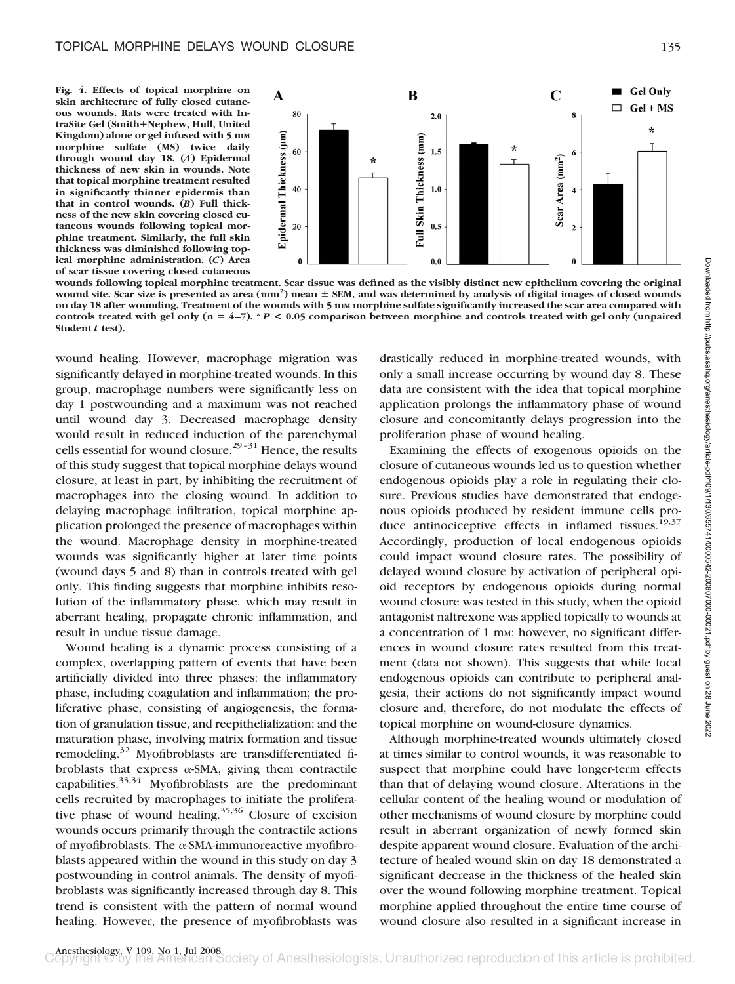**Fig. 4. Effects of topical morphine on skin architecture of fully closed cutaneous wounds. Rats were treated with IntraSite Gel (SmithNephew, Hull, United Kingdom) alone or gel infused with 5 mM morphine sulfate (MS) twice daily through wound day 18. (***A***) Epidermal thickness of new skin in wounds. Note that topical morphine treatment resulted in significantly thinner epidermis than that in control wounds. (***B***) Full thickness of the new skin covering closed cutaneous wounds following topical morphine treatment. Similarly, the full skin thickness was diminished following topical morphine administration. (***C***) Area of scar tissue covering closed cutaneous**



**wounds following topical morphine treatment. Scar tissue was defined as the visibly distinct new epithelium covering the original** wound site. Scar size is presented as area (mm<sup>2</sup>) mean  $\pm$  SEM, and was determined by analysis of digital images of closed wounds on day 18 after wounding. Treatment of the wounds with 5 mm morphine sulfate significantly increased the scar area compared with **controls treated with gel only (n 4 –7). \*** *P* **< 0.05 comparison between morphine and controls treated with gel only (unpaired Student** *t* **test).**

wound healing. However, macrophage migration was significantly delayed in morphine-treated wounds. In this group, macrophage numbers were significantly less on day 1 postwounding and a maximum was not reached until wound day 3. Decreased macrophage density would result in reduced induction of the parenchymal cells essential for wound closure.<sup>29-31</sup> Hence, the results of this study suggest that topical morphine delays wound closure, at least in part, by inhibiting the recruitment of macrophages into the closing wound. In addition to delaying macrophage infiltration, topical morphine application prolonged the presence of macrophages within the wound. Macrophage density in morphine-treated wounds was significantly higher at later time points (wound days 5 and 8) than in controls treated with gel only. This finding suggests that morphine inhibits resolution of the inflammatory phase, which may result in aberrant healing, propagate chronic inflammation, and result in undue tissue damage.

Wound healing is a dynamic process consisting of a complex, overlapping pattern of events that have been artificially divided into three phases: the inflammatory phase, including coagulation and inflammation; the proliferative phase, consisting of angiogenesis, the formation of granulation tissue, and reepithelialization; and the maturation phase, involving matrix formation and tissue remodeling.32 Myofibroblasts are transdifferentiated fibroblasts that express  $\alpha$ -SMA, giving them contractile capabilities.33,34 Myofibroblasts are the predominant cells recruited by macrophages to initiate the proliferative phase of wound healing. $35,36$  Closure of excision wounds occurs primarily through the contractile actions of myofibroblasts. The  $\alpha$ -SMA-immunoreactive myofibroblasts appeared within the wound in this study on day 3 postwounding in control animals. The density of myofibroblasts was significantly increased through day 8. This trend is consistent with the pattern of normal wound healing. However, the presence of myofibroblasts was

drastically reduced in morphine-treated wounds, with only a small increase occurring by wound day 8. These data are consistent with the idea that topical morphine application prolongs the inflammatory phase of wound closure and concomitantly delays progression into the proliferation phase of wound healing.

Examining the effects of exogenous opioids on the closure of cutaneous wounds led us to question whether endogenous opioids play a role in regulating their closure. Previous studies have demonstrated that endogenous opioids produced by resident immune cells produce antinociceptive effects in inflamed tissues.<sup>19,37</sup> Accordingly, production of local endogenous opioids could impact wound closure rates. The possibility of delayed wound closure by activation of peripheral opioid receptors by endogenous opioids during normal wound closure was tested in this study, when the opioid antagonist naltrexone was applied topically to wounds at a concentration of 1 mm; however, no significant differences in wound closure rates resulted from this treatment (data not shown). This suggests that while local endogenous opioids can contribute to peripheral analgesia, their actions do not significantly impact wound closure and, therefore, do not modulate the effects of topical morphine on wound-closure dynamics.

Although morphine-treated wounds ultimately closed at times similar to control wounds, it was reasonable to suspect that morphine could have longer-term effects than that of delaying wound closure. Alterations in the cellular content of the healing wound or modulation of other mechanisms of wound closure by morphine could result in aberrant organization of newly formed skin despite apparent wound closure. Evaluation of the architecture of healed wound skin on day 18 demonstrated a significant decrease in the thickness of the healed skin over the wound following morphine treatment. Topical morphine applied throughout the entire time course of wound closure also resulted in a significant increase in